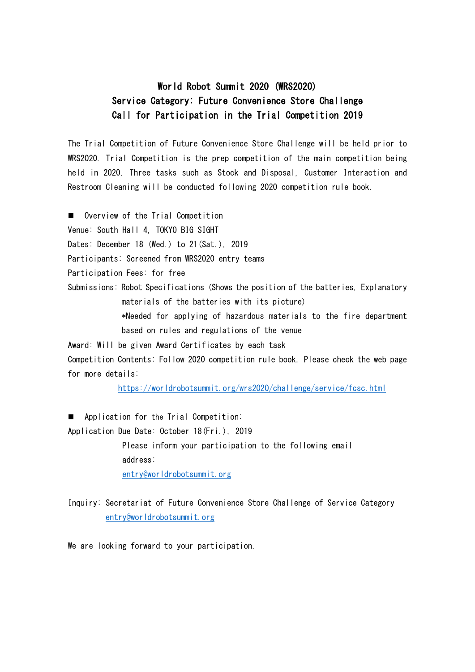## World Robot Summit 2020 (WRS2020) Service Category: Future Convenience Store Challenge Call for Participation in the Trial Competition 2019

The Trial Competition of Future Convenience Store Challenge will be held prior to WRS2020. Trial Competition is the prep competition of the main competition being held in 2020. Three tasks such as Stock and Disposal, Customer Interaction and Restroom Cleaning will be conducted following 2020 competition rule book.

**Deading Overview of the Trial Competition** 

Venue: South Hall 4, TOKYO BIG SIGHT

Dates: December 18 (Wed.) to 21 (Sat.), 2019

Participants: Screened from WRS2020 entry teams

Participation Fees: for free

Submissions: Robot Specifications (Shows the position of the batteries, Explanatory materials of the batteries with its picture)

> \*Needed for applying of hazardous materials to the fire department based on rules and regulations of the venue

Award: Will be given Award Certificates by each task

Competition Contents: Follow 2020 competition rule book. Please check the web page for more details:

<https://worldrobotsummit.org/wrs2020/challenge/service/fcsc.html>

**Application for the Trial Competition:** 

Application Due Date: October 18(Fri.), 2019

Please inform your participation to the following email address: [entry@worldrobotsummit.org](mailto:entry@worldrobotsummit.org)

Inquiry: Secretariat of Future Convenience Store Challenge of Service Category [entry@worldrobotsummit.org](mailto:entry@worldrobotsummit.org)

We are looking forward to your participation.